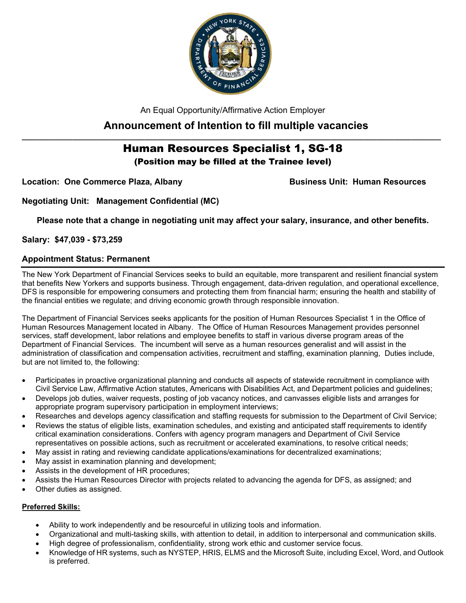

An Equal Opportunity/Affirmative Action Employer

# **Announcement of Intention to fill multiple vacancies**

# **\_\_\_\_\_\_\_\_\_\_\_\_\_\_\_\_\_\_\_\_\_\_\_\_\_\_\_\_\_\_\_\_\_\_\_\_\_\_\_\_\_\_\_\_\_\_\_\_\_\_\_\_\_\_\_\_\_\_\_\_\_\_\_\_\_\_\_\_\_\_\_\_\_\_\_\_\_\_\_\_\_\_\_\_\_\_\_\_\_\_\_\_\_\_\_\_\_\_\_** Human Resources Specialist 1, SG-18

(Position may be filled at the Trainee level)

Location: One Commerce Plaza, Albany **Business Unit: Human Resources** 

**Negotiating Unit: Management Confidential (MC)**

**Please note that a change in negotiating unit may affect your salary, insurance, and other benefits.**

**Salary: \$47,039 - \$73,259**

## **Appointment Status: Permanent**

The New York Department of Financial Services seeks to build an equitable, more transparent and resilient financial system that benefits New Yorkers and supports business. Through engagement, data-driven regulation, and operational excellence, DFS is responsible for empowering consumers and protecting them from financial harm; ensuring the health and stability of the financial entities we regulate; and driving economic growth through responsible innovation.

The Department of Financial Services seeks applicants for the position of Human Resources Specialist 1 in the Office of Human Resources Management located in Albany. The Office of Human Resources Management provides personnel services, staff development, labor relations and employee benefits to staff in various diverse program areas of the Department of Financial Services. The incumbent will serve as a human resources generalist and will assist in the administration of classification and compensation activities, recruitment and staffing, examination planning, Duties include, but are not limited to, the following:

- Participates in proactive organizational planning and conducts all aspects of statewide recruitment in compliance with Civil Service Law, Affirmative Action statutes, Americans with Disabilities Act, and Department policies and guidelines;
- Develops job duties, waiver requests, posting of job vacancy notices, and canvasses eligible lists and arranges for appropriate program supervisory participation in employment interviews;
- Researches and develops agency classification and staffing requests for submission to the Department of Civil Service;
- Reviews the status of eligible lists, examination schedules, and existing and anticipated staff requirements to identify critical examination considerations. Confers with agency program managers and Department of Civil Service representatives on possible actions, such as recruitment or accelerated examinations, to resolve critical needs;
- May assist in rating and reviewing candidate applications/examinations for decentralized examinations;
- May assist in examination planning and development;
- Assists in the development of HR procedures;
- Assists the Human Resources Director with projects related to advancing the agenda for DFS, as assigned; and
- Other duties as assigned.

## **Preferred Skills:**

- Ability to work independently and be resourceful in utilizing tools and information.
- Organizational and multi-tasking skills, with attention to detail, in addition to interpersonal and communication skills.
- High degree of professionalism, confidentiality, strong work ethic and customer service focus.
- Knowledge of HR systems, such as NYSTEP, HRIS, ELMS and the Microsoft Suite, including Excel, Word, and Outlook is preferred.